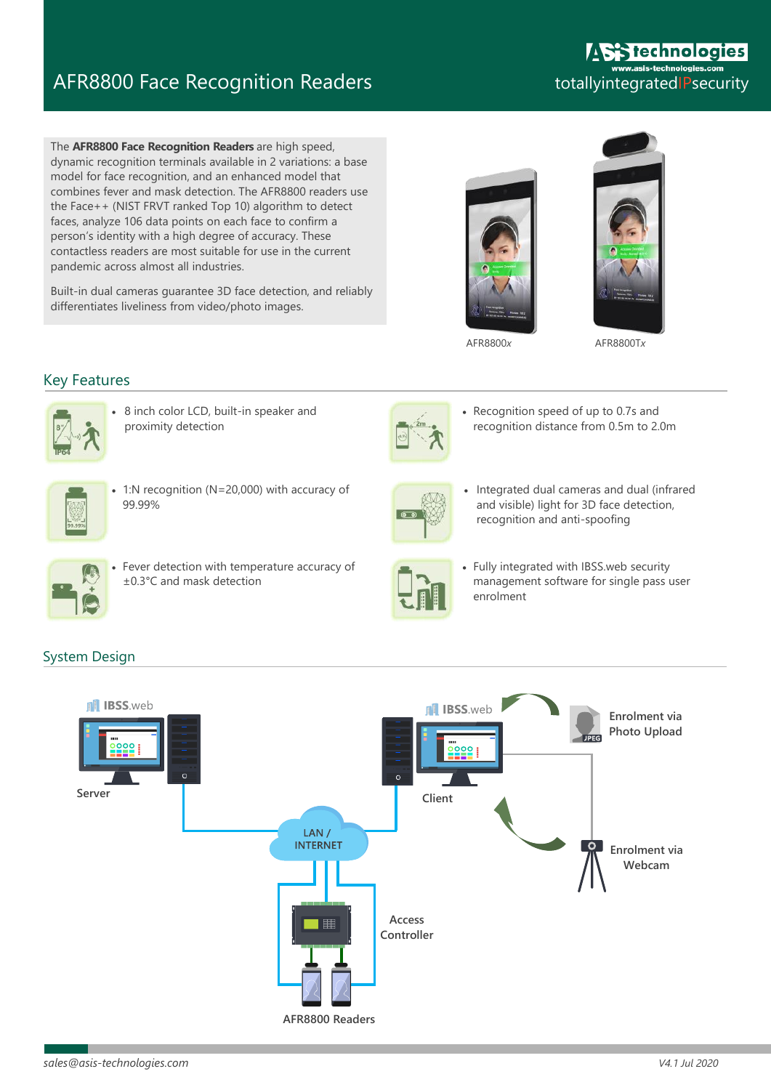# AFR8800 Face Recognition Readers

The **AFR8800 Face Recognition Readers** are high speed, dynamic recognition terminals available in 2 variations: a base model for face recognition, and an enhanced model that combines fever and mask detection. The AFR8800 readers use the Face++ (NIST FRVT ranked Top 10) algorithm to detect faces, analyze 106 data points on each face to confirm a person's identity with a high degree of accuracy. These contactless readers are most suitable for use in the current pandemic across almost all industries.

Built-in dual cameras guarantee 3D face detection, and reliably differentiates liveliness from video/photo images.

### **Stechnologies** asis-technologies.com totallyintegratedIPsecurity





AFR8800*x* AFR8800T*x*

### Key Features



 8 inch color LCD, built-in speaker and proximity detection



 1:N recognition (N=20,000) with accuracy of 99.99%



 Fever detection with temperature accuracy of ±0.3°C and mask detection



 Recognition speed of up to 0.7s and recognition distance from 0.5m to 2.0m



 Integrated dual cameras and dual (infrared and visible) light for 3D face detection, recognition and anti-spoofing



 Fully integrated with IBSS.web security management software for single pass user enrolment

## System Design